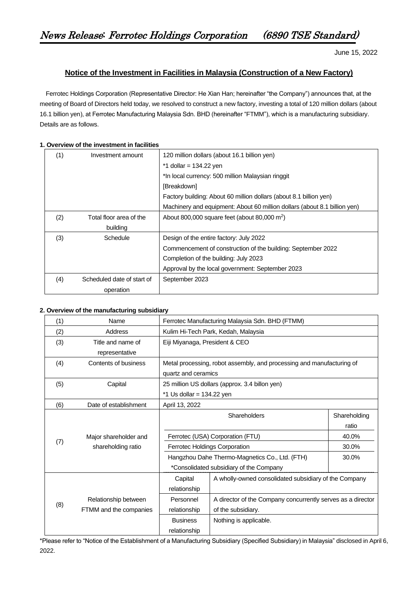June 15, 2022

## **Notice of the Investment in Facilities in Malaysia (Construction of a New Factory)**

Ferrotec Holdings Corporation (Representative Director: He Xian Han; hereinafter "the Company") announces that, at the meeting of Board of Directors held today, we resolved to construct a new factory, investing a total of 120 million dollars (about 16.1 billion yen), at Ferrotec Manufacturing Malaysia Sdn. BHD (hereinafter "FTMM"), which is a manufacturing subsidiary. Details are as follows.

## **1. Overview of the investment in facilities**

| (1) | Investment amount          | 120 million dollars (about 16.1 billion yen)                              |  |  |  |
|-----|----------------------------|---------------------------------------------------------------------------|--|--|--|
|     |                            | $*1$ dollar = 134.22 yen                                                  |  |  |  |
|     |                            | *In local currency: 500 million Malaysian ringgit                         |  |  |  |
|     |                            | [Breakdown]                                                               |  |  |  |
|     |                            | Factory building: About 60 million dollars (about 8.1 billion yen)        |  |  |  |
|     |                            | Machinery and equipment: About 60 million dollars (about 8.1 billion yen) |  |  |  |
| (2) | Total floor area of the    | About 800,000 square feet (about 80,000 m <sup>2</sup> )                  |  |  |  |
|     | building                   |                                                                           |  |  |  |
| (3) | Schedule                   | Design of the entire factory: July 2022                                   |  |  |  |
|     |                            | Commencement of construction of the building: September 2022              |  |  |  |
|     |                            | Completion of the building: July 2023                                     |  |  |  |
|     |                            | Approval by the local government: September 2023                          |  |  |  |
| (4) | Scheduled date of start of | September 2023                                                            |  |  |  |
|     | operation                  |                                                                           |  |  |  |

## **2. Overview of the manufacturing subsidiary**

| (1) | Name                   | Ferrotec Manufacturing Malaysia Sdn. BHD (FTMM)                       |                                                             |              |  |  |
|-----|------------------------|-----------------------------------------------------------------------|-------------------------------------------------------------|--------------|--|--|
| (2) | <b>Address</b>         | Kulim Hi-Tech Park, Kedah, Malaysia                                   |                                                             |              |  |  |
| (3) | Title and name of      | Eiji Miyanaga, President & CEO                                        |                                                             |              |  |  |
|     | representative         |                                                                       |                                                             |              |  |  |
| (4) | Contents of business   | Metal processing, robot assembly, and processing and manufacturing of |                                                             |              |  |  |
|     |                        | quartz and ceramics                                                   |                                                             |              |  |  |
| (5) | Capital                | 25 million US dollars (approx. 3.4 billon yen)                        |                                                             |              |  |  |
|     |                        | $*1$ Us dollar = 134.22 yen                                           |                                                             |              |  |  |
| (6) | Date of establishment  | April 13, 2022                                                        |                                                             |              |  |  |
|     |                        |                                                                       | Shareholders                                                | Shareholding |  |  |
|     |                        |                                                                       |                                                             | ratio        |  |  |
|     | Major shareholder and  | Ferrotec (USA) Corporation (FTU)                                      |                                                             | 40.0%        |  |  |
| (7) | shareholding ratio     | <b>Ferrotec Holdings Corporation</b>                                  | 30.0%                                                       |              |  |  |
|     |                        |                                                                       | Hangzhou Dahe Thermo-Magnetics Co., Ltd. (FTH)              | 30.0%        |  |  |
|     |                        | *Consolidated subsidiary of the Company                               |                                                             |              |  |  |
|     |                        | Capital                                                               | A wholly-owned consolidated subsidiary of the Company       |              |  |  |
|     |                        | relationship                                                          |                                                             |              |  |  |
|     | Relationship between   | Personnel                                                             | A director of the Company concurrently serves as a director |              |  |  |
| (8) | FTMM and the companies | relationship                                                          | of the subsidiary.                                          |              |  |  |
|     |                        | <b>Business</b>                                                       | Nothing is applicable.                                      |              |  |  |
|     |                        | relationship                                                          |                                                             |              |  |  |

\*Please refer to "Notice of the Establishment of a Manufacturing Subsidiary (Specified Subsidiary) in Malaysia" disclosed in April 6, 2022.